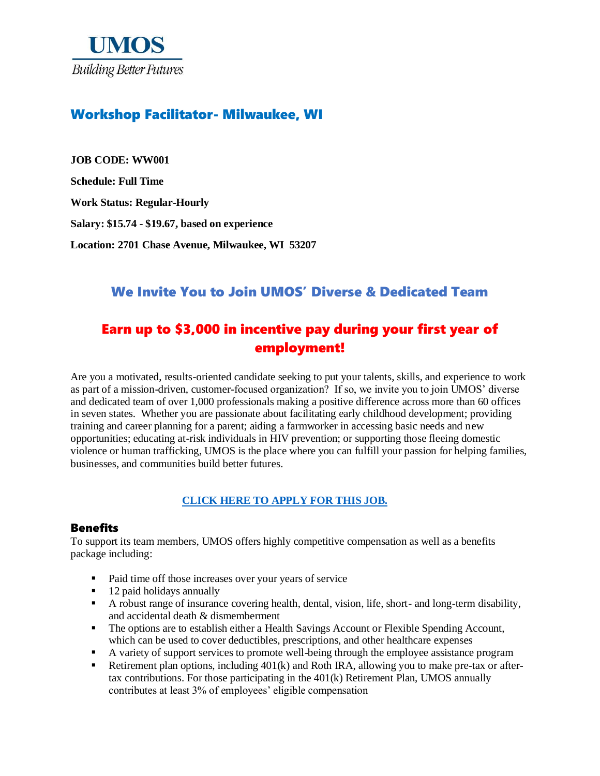

## Workshop Facilitator- Milwaukee, WI

**JOB CODE: WW001 Schedule: Full Time Work Status: Regular-Hourly Salary: \$15.74 - \$19.67, based on experience Location: 2701 Chase Avenue, Milwaukee, WI 53207**

## We Invite You to Join UMOS' Diverse & Dedicated Team

# Earn up to \$3,000 in incentive pay during your first year of employment!

Are you a motivated, results-oriented candidate seeking to put your talents, skills, and experience to work as part of a mission-driven, customer-focused organization? If so, we invite you to join UMOS' diverse and dedicated team of over 1,000 professionals making a positive difference across more than 60 offices in seven states. Whether you are passionate about facilitating early childhood development; providing training and career planning for a parent; aiding a farmworker in accessing basic needs and new opportunities; educating at-risk individuals in HIV prevention; or supporting those fleeing domestic violence or human trafficking, UMOS is the place where you can fulfill your passion for helping families, businesses, and communities build better futures.

#### **[CLICK HERE TO APPLY FOR THIS JOB.](https://www.umos.org/job-application/)**

#### Benefits

To support its team members, UMOS offers highly competitive compensation as well as a benefits package including:

- Paid time off those increases over your years of service
- 12 paid holidays annually
- A robust range of insurance covering health, dental, vision, life, short- and long-term disability, and accidental death & dismemberment
- The options are to establish either a Health Savings Account or Flexible Spending Account, which can be used to cover deductibles, prescriptions, and other healthcare expenses
- A variety of support services to promote well-being through the employee assistance program
- Extirement plan options, including  $401(k)$  and Roth IRA, allowing you to make pre-tax or aftertax contributions. For those participating in the 401(k) Retirement Plan, UMOS annually contributes at least 3% of employees' eligible compensation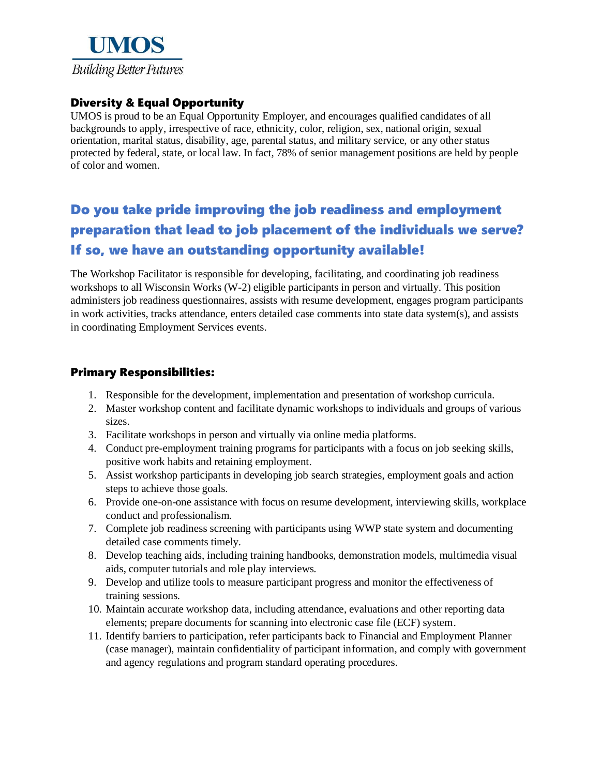

### Diversity & Equal Opportunity

UMOS is proud to be an Equal Opportunity Employer, and encourages qualified candidates of all backgrounds to apply, irrespective of race, ethnicity, color, religion, sex, national origin, sexual orientation, marital status, disability, age, parental status, and military service, or any other status protected by federal, state, or local law. In fact, 78% of senior management positions are held by people of color and women.

# Do you take pride improving the job readiness and employment preparation that lead to job placement of the individuals we serve? If so, we have an outstanding opportunity available!

The Workshop Facilitator is responsible for developing, facilitating, and coordinating job readiness workshops to all Wisconsin Works (W-2) eligible participants in person and virtually. This position administers job readiness questionnaires, assists with resume development, engages program participants in work activities, tracks attendance, enters detailed case comments into state data system(s), and assists in coordinating Employment Services events.

#### Primary Responsibilities:

- 1. Responsible for the development, implementation and presentation of workshop curricula.
- 2. Master workshop content and facilitate dynamic workshops to individuals and groups of various sizes.
- 3. Facilitate workshops in person and virtually via online media platforms.
- 4. Conduct pre-employment training programs for participants with a focus on job seeking skills, positive work habits and retaining employment.
- 5. Assist workshop participants in developing job search strategies, employment goals and action steps to achieve those goals.
- 6. Provide one-on-one assistance with focus on resume development, interviewing skills, workplace conduct and professionalism.
- 7. Complete job readiness screening with participants using WWP state system and documenting detailed case comments timely.
- 8. Develop teaching aids, including training handbooks, demonstration models, multimedia visual aids, computer tutorials and role play interviews.
- 9. Develop and utilize tools to measure participant progress and monitor the effectiveness of training sessions.
- 10. Maintain accurate workshop data, including attendance, evaluations and other reporting data elements; prepare documents for scanning into electronic case file (ECF) system.
- 11. Identify barriers to participation, refer participants back to Financial and Employment Planner (case manager), maintain confidentiality of participant information, and comply with government and agency regulations and program standard operating procedures.